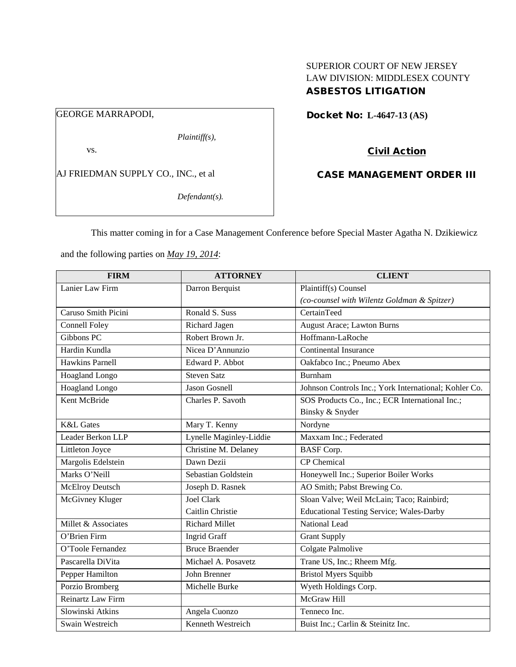# SUPERIOR COURT OF NEW JERSEY LAW DIVISION: MIDDLESEX COUNTY ASBESTOS LITIGATION

# GEORGE MARRAPODI,

*Plaintiff(s),*

vs.

AJ FRIEDMAN SUPPLY CO., INC., et al

*Defendant(s).*

Docket No: **L-4647-13 (AS)** 

# Civil Action

# CASE MANAGEMENT ORDER III

This matter coming in for a Case Management Conference before Special Master Agatha N. Dzikiewicz

and the following parties on *May 19, 2014*:

| <b>FIRM</b>            | <b>ATTORNEY</b>         | <b>CLIENT</b>                                         |
|------------------------|-------------------------|-------------------------------------------------------|
| Lanier Law Firm        | Darron Berquist         | Plaintiff(s) Counsel                                  |
|                        |                         | (co-counsel with Wilentz Goldman & Spitzer)           |
| Caruso Smith Picini    | Ronald S. Suss          | CertainTeed                                           |
| <b>Connell Foley</b>   | Richard Jagen           | August Arace; Lawton Burns                            |
| Gibbons PC             | Robert Brown Jr.        | Hoffmann-LaRoche                                      |
| Hardin Kundla          | Nicea D'Annunzio        | <b>Continental Insurance</b>                          |
| Hawkins Parnell        | Edward P. Abbot         | Oakfabco Inc.; Pneumo Abex                            |
| Hoagland Longo         | <b>Steven Satz</b>      | Burnham                                               |
| <b>Hoagland Longo</b>  | Jason Gosnell           | Johnson Controls Inc.; York International; Kohler Co. |
| Kent McBride           | Charles P. Savoth       | SOS Products Co., Inc.; ECR International Inc.;       |
|                        |                         | Binsky & Snyder                                       |
| <b>K&amp;L</b> Gates   | Mary T. Kenny           | Nordyne                                               |
| Leader Berkon LLP      | Lynelle Maginley-Liddie | Maxxam Inc.; Federated                                |
| Littleton Joyce        | Christine M. Delaney    | <b>BASF</b> Corp.                                     |
| Margolis Edelstein     | Dawn Dezii              | <b>CP</b> Chemical                                    |
| Marks O'Neill          | Sebastian Goldstein     | Honeywell Inc.; Superior Boiler Works                 |
| <b>McElroy Deutsch</b> | Joseph D. Rasnek        | AO Smith; Pabst Brewing Co.                           |
| McGivney Kluger        | <b>Joel Clark</b>       | Sloan Valve; Weil McLain; Taco; Rainbird;             |
|                        | Caitlin Christie        | <b>Educational Testing Service; Wales-Darby</b>       |
| Millet & Associates    | <b>Richard Millet</b>   | National Lead                                         |
| O'Brien Firm           | <b>Ingrid Graff</b>     | <b>Grant Supply</b>                                   |
| O'Toole Fernandez      | <b>Bruce Braender</b>   | Colgate Palmolive                                     |
| Pascarella DiVita      | Michael A. Posavetz     | Trane US, Inc.; Rheem Mfg.                            |
| Pepper Hamilton        | John Brenner            | <b>Bristol Myers Squibb</b>                           |
| Porzio Bromberg        | Michelle Burke          | Wyeth Holdings Corp.                                  |
| Reinartz Law Firm      |                         | McGraw Hill                                           |
| Slowinski Atkins       | Angela Cuonzo           | Tenneco Inc.                                          |
| Swain Westreich        | Kenneth Westreich       | Buist Inc.; Carlin & Steinitz Inc.                    |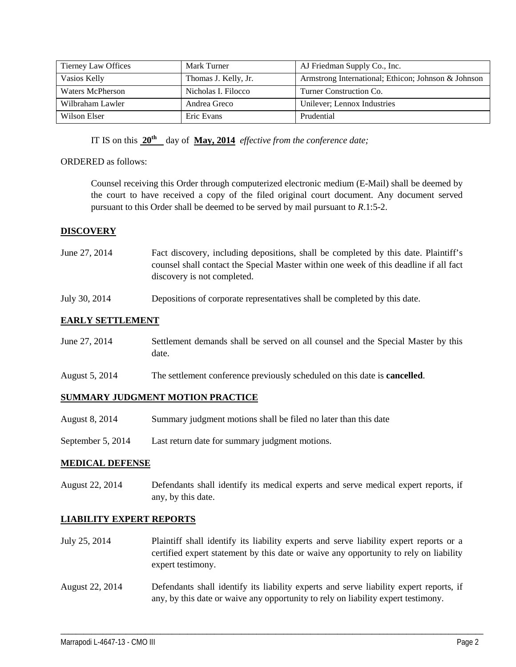| Tierney Law Offices | Mark Turner          | AJ Friedman Supply Co., Inc.                        |
|---------------------|----------------------|-----------------------------------------------------|
| Vasios Kelly        | Thomas J. Kelly, Jr. | Armstrong International; Ethicon; Johnson & Johnson |
| Waters McPherson    | Nicholas I. Filocco  | Turner Construction Co.                             |
| Wilbraham Lawler    | Andrea Greco         | Unilever; Lennox Industries                         |
| Wilson Elser        | Eric Evans           | Prudential                                          |

IT IS on this **20th** day of **May, 2014** *effective from the conference date;*

## ORDERED as follows:

Counsel receiving this Order through computerized electronic medium (E-Mail) shall be deemed by the court to have received a copy of the filed original court document. Any document served pursuant to this Order shall be deemed to be served by mail pursuant to *R*.1:5-2.

## **DISCOVERY**

- June 27, 2014 Fact discovery, including depositions, shall be completed by this date. Plaintiff's counsel shall contact the Special Master within one week of this deadline if all fact discovery is not completed.
- July 30, 2014 Depositions of corporate representatives shall be completed by this date.

## **EARLY SETTLEMENT**

- June 27, 2014 Settlement demands shall be served on all counsel and the Special Master by this date.
- August 5, 2014 The settlement conference previously scheduled on this date is **cancelled**.

#### **SUMMARY JUDGMENT MOTION PRACTICE**

- August 8, 2014 Summary judgment motions shall be filed no later than this date
- September 5, 2014 Last return date for summary judgment motions.

#### **MEDICAL DEFENSE**

August 22, 2014 Defendants shall identify its medical experts and serve medical expert reports, if any, by this date.

#### **LIABILITY EXPERT REPORTS**

- July 25, 2014 Plaintiff shall identify its liability experts and serve liability expert reports or a certified expert statement by this date or waive any opportunity to rely on liability expert testimony.
- August 22, 2014 Defendants shall identify its liability experts and serve liability expert reports, if any, by this date or waive any opportunity to rely on liability expert testimony.

\_\_\_\_\_\_\_\_\_\_\_\_\_\_\_\_\_\_\_\_\_\_\_\_\_\_\_\_\_\_\_\_\_\_\_\_\_\_\_\_\_\_\_\_\_\_\_\_\_\_\_\_\_\_\_\_\_\_\_\_\_\_\_\_\_\_\_\_\_\_\_\_\_\_\_\_\_\_\_\_\_\_\_\_\_\_\_\_\_\_\_\_\_\_\_\_\_\_\_\_\_\_\_\_\_\_\_\_\_\_